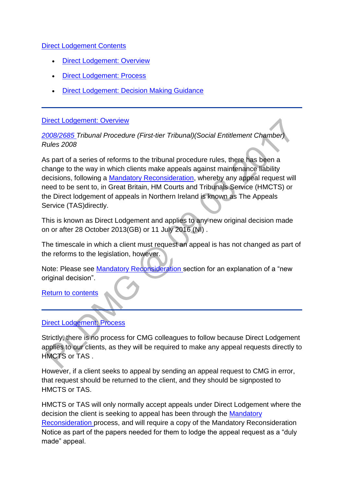### [Direct Lodgement Contents](http://np-cmg-sharepoint.link2.gpn.gov.uk/sites/policy-law-and-decision-making-guidance/Pages)

- [Direct Lodgement: Overview](http://np-cmg-sharepoint.link2.gpn.gov.uk/sites/policy-law-and-decision-making-guidance/Pages/Direct-Lodgement.aspx#overview)
- [Direct Lodgement: Process](http://np-cmg-sharepoint.link2.gpn.gov.uk/sites/policy-law-and-decision-making-guidance/Pages/Direct-Lodgement.aspx#process)
- **[Direct Lodgement: Decision Making Guidance](http://np-cmg-sharepoint.link2.gpn.gov.uk/sites/policy-law-and-decision-making-guidance/Pages/Direct-Lodgement.aspx#dmg)**

### [Direct Lodgement: Overview](http://np-cmg-sharepoint.link2.gpn.gov.uk/sites/policy-law-and-decision-making-guidance/Pages)

## *[2008/2685 T](http://www.legislation.gov.uk/uksi/2008/2685/contents)ribunal Procedure (First-tier Tribunal)(Social Entitlement Chamber) Rules 2008*

As part of a series of reforms to the tribunal procedure rules, there has been a change to the way in which clients make appeals against maintenance liability decisions, following a [Mandatory Reconsideration,](http://np-cmg-sharepoint.link2.gpn.gov.uk/sites/policy-law-and-decision-making-guidance/Pages/Mandatory-Reconsideration.aspx) whereby any appeal request will need to be sent to, in Great Britain, HM Courts and Tribunals Service (HMCTS) or the Direct lodgement of appeals in Northern Ireland is known as The Appeals Service (TAS)directly.

This is known as Direct Lodgement and applies to any new original decision made on or after 28 October 2013(GB) or 11 July 2016 (NI) .

The timescale in which a client must request an appeal is has not changed as part of the reforms to the legislation, however.

Note: Please see [Mandatory Reconsideration s](http://np-cmg-sharepoint.link2.gpn.gov.uk/sites/policy-law-and-decision-making-guidance/Pages/Mandatory-Reconsideration.aspx)ection for an explanation of a "new original decision".

[Return to contents](http://np-cmg-sharepoint.link2.gpn.gov.uk/sites/policy-law-and-decision-making-guidance/Pages/Direct-Lodgement.aspx#contents)

# [Direct Lodgement: Process](http://np-cmg-sharepoint.link2.gpn.gov.uk/sites/policy-law-and-decision-making-guidance/Pages)

Strictly, there is no process for CMG colleagues to follow because Direct Lodgement applies to our clients, as they will be required to make any appeal requests directly to HMCTS or TAS .

However, if a client seeks to appeal by sending an appeal request to CMG in error, that request should be returned to the client, and they should be signposted to HMCTS or TAS.

HMCTS or TAS will only normally accept appeals under Direct Lodgement where the decision the client is seeking to appeal has been through the [Mandatory](http://np-cmg-sharepoint.link2.gpn.gov.uk/sites/policy-law-and-decision-making-guidance/Pages/Mandatory-Reconsideration.aspx)  [Reconsideration p](http://np-cmg-sharepoint.link2.gpn.gov.uk/sites/policy-law-and-decision-making-guidance/Pages/Mandatory-Reconsideration.aspx)rocess, and will require a copy of the Mandatory Reconsideration Notice as part of the papers needed for them to lodge the appeal request as a "duly made" appeal.